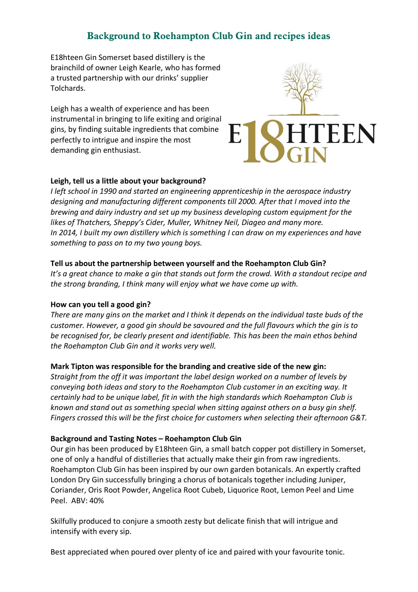# **Background to Roehampton Club Gin and recipes ideas**

E18hteen Gin Somerset based distillery is the brainchild of owner Leigh Kearle, who has formed a trusted partnership with our drinks' supplier Tolchards.

Leigh has a wealth of experience and has been instrumental in bringing to life exiting and original gins, by finding suitable ingredients that combine perfectly to intrigue and inspire the most demanding gin enthusiast.



#### **Leigh, tell us a little about your background?**

*I left school in 1990 and started an engineering apprenticeship in the aerospace industry designing and manufacturing different components till 2000. After that I moved into the brewing and dairy industry and set up my business developing custom equipment for the likes of Thatchers, Sheppy's Cider, Muller, Whitney Neil, Diageo and many more. In 2014, I built my own distillery which is something I can draw on my experiences and have something to pass on to my two young boys.*

#### **Tell us about the partnership between yourself and the Roehampton Club Gin?**

It's a great chance to make a gin that stands out form the crowd. With a standout recipe and *the strong branding, I think many will enjoy what we have come up with.*

#### **How can you tell a good gin?**

*There are many gins on the market and I think it depends on the individual taste buds of the customer. However, a good gin should be savoured and the full flavours which the gin is to be recognised for, be clearly present and identifiable. This has been the main ethos behind the Roehampton Club Gin and it works very well.* 

#### **Mark Tipton was responsible for the branding and creative side of the new gin:**

*Straight from the off it was important the label design worked on a number of levels by conveying both ideas and story to the Roehampton Club customer in an exciting way. It certainly had to be unique label, fit in with the high standards which Roehampton Club is known and stand out as something special when sitting against others on a busy gin shelf. Fingers crossed this will be the first choice for customers when selecting their afternoon G&T.* 

#### **Background and Tasting Notes – Roehampton Club Gin**

Our gin has been produced by E18hteen Gin, a small batch copper pot distillery in Somerset, one of only a handful of distilleries that actually make their gin from raw ingredients. Roehampton Club Gin has been inspired by our own garden botanicals. An expertly crafted London Dry Gin successfully bringing a chorus of botanicals together including Juniper, Coriander, Oris Root Powder, Angelica Root Cubeb, Liquorice Root, Lemon Peel and Lime Peel. ABV: 40%

Skilfully produced to conjure a smooth zesty but delicate finish that will intrigue and intensify with every sip.

Best appreciated when poured over plenty of ice and paired with your favourite tonic.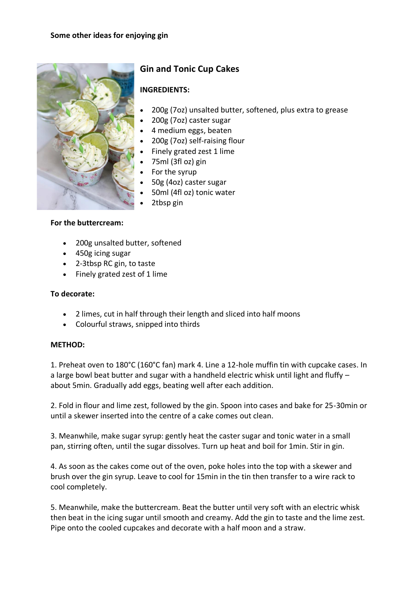

# **Gin and Tonic Cup Cakes**

### **INGREDIENTS:**

- 200g (7oz) unsalted butter, softened, plus extra to grease
- 200g (7oz) caster sugar
- 4 medium eggs, beaten
- 200g (7oz) self-raising flour
- Finely grated zest 1 lime
- 75ml (3fl oz) gin
- For the syrup
- 50g (4oz) caster sugar
- 50ml (4fl oz) tonic water
- 2tbsp gin

#### **For the buttercream:**

- 200g unsalted butter, softened
- 450g icing sugar
- 2-3tbsp RC gin, to taste
- Finely grated zest of 1 lime

#### **To decorate:**

- 2 limes, cut in half through their length and sliced into half moons
- Colourful straws, snipped into thirds

#### **METHOD:**

1. Preheat oven to 180°C (160°C fan) mark 4. Line a 12-hole muffin tin with cupcake cases. In a large bowl beat butter and sugar with a handheld electric whisk until light and fluffy – about 5min. Gradually add eggs, beating well after each addition.

2. Fold in flour and lime zest, followed by the gin. Spoon into cases and bake for 25-30min or until a skewer inserted into the centre of a cake comes out clean.

3. Meanwhile, make sugar syrup: gently heat the caster sugar and tonic water in a small pan, stirring often, until the sugar dissolves. Turn up heat and boil for 1min. Stir in gin.

4. As soon as the cakes come out of the oven, poke holes into the top with a skewer and brush over the gin syrup. Leave to cool for 15min in the tin then transfer to a wire rack to cool completely.

5. Meanwhile, make the buttercream. Beat the butter until very soft with an electric whisk then beat in the icing sugar until smooth and creamy. Add the gin to taste and the lime zest. Pipe onto the cooled cupcakes and decorate with a half moon and a straw.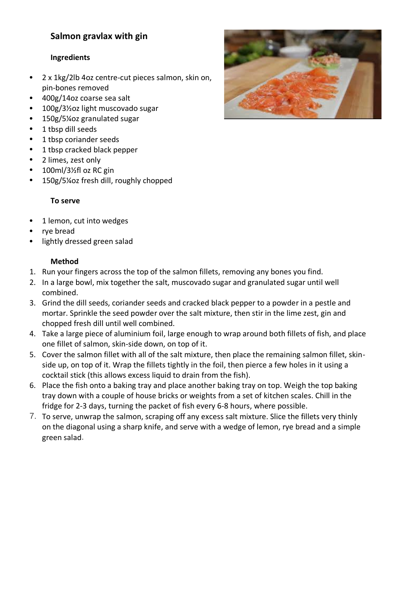## **Salmon gravlax with gin**

#### **Ingredients**

- 2 x 1kg/2lb 4oz centre-cut pieces [salmon,](https://www.bbc.co.uk/food/salmon) skin on, pin-bones removed
- 400g/14oz coarse [sea salt](https://www.bbc.co.uk/food/sea_salt)
- 100g/3½oz light muscovado [sugar](https://www.bbc.co.uk/food/sugar)
- 150g/5¼oz granulated [sugar](https://www.bbc.co.uk/food/sugar)
- 1 tbsp [dill](https://www.bbc.co.uk/food/dill) seeds
- 1 tbsp [coriander seeds](https://www.bbc.co.uk/food/coriander_seeds)
- 1 tbsp cracked [black pepper](https://www.bbc.co.uk/food/black_pepper)
- 2 [limes,](https://www.bbc.co.uk/food/lime) zest only
- 100ml/3½fl oz RC [gin](https://www.bbc.co.uk/food/gin)
- 150g/5¼oz fresh [dill,](https://www.bbc.co.uk/food/dill) roughly chopped

#### **To serve**

- 1 [lemon,](https://www.bbc.co.uk/food/lemon) cut into wedges
- [rye bread](https://www.bbc.co.uk/food/rye_bread)
- lightly dressed green [salad](https://www.bbc.co.uk/food/salad)

#### **Method**

- 1. Run your fingers across the top of the salmon fillets, removing any bones you find.
- 2. In a large bowl, mix together the salt, muscovado sugar and granulated sugar until well combined.
- 3. Grind the dill seeds, coriander seeds and cracked black pepper to a powder in a pestle and mortar. Sprinkle the seed powder over the salt mixture, then stir in the lime zest, gin and chopped fresh dill until well combined.
- 4. Take a large piece of aluminium foil, large enough to wrap around both fillets of fish, and place one fillet of salmon, skin-side down, on top of it.
- 5. Cover the salmon fillet with all of the salt mixture, then place the remaining salmon fillet, skinside up, on top of it. Wrap the fillets tightly in the foil, then pierce a few holes in it using a cocktail stick (this allows excess liquid to drain from the fish).
- 6. Place the fish onto a baking tray and place another baking tray on top. Weigh the top baking tray down with a couple of house bricks or weights from a set of kitchen scales. Chill in the fridge for 2-3 days, turning the packet of fish every 6-8 hours, where possible.
- 7. To serve, unwrap the salmon, scraping off any excess salt mixture. Slice the fillets very thinly on the diagonal using a sharp knife, and serve with a wedge of lemon, rye bread and a simple green salad.